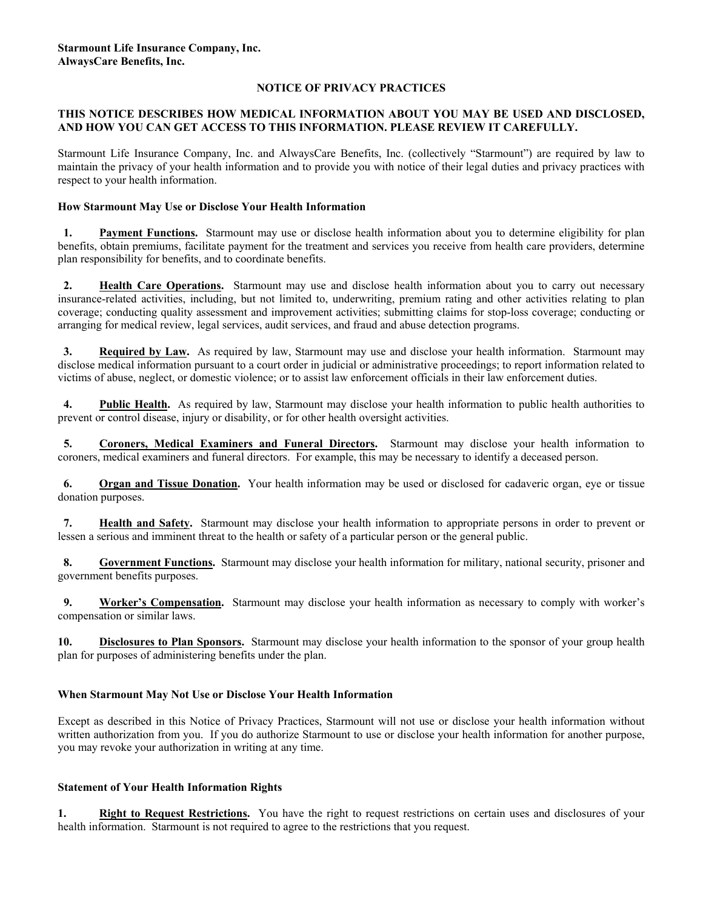### **NOTICE OF PRIVACY PRACTICES**

### **THIS NOTICE DESCRIBES HOW MEDICAL INFORMATION ABOUT YOU MAY BE USED AND DISCLOSED, AND HOW YOU CAN GET ACCESS TO THIS INFORMATION. PLEASE REVIEW IT CAREFULLY.**

Starmount Life Insurance Company, Inc. and AlwaysCare Benefits, Inc. (collectively "Starmount") are required by law to maintain the privacy of your health information and to provide you with notice of their legal duties and privacy practices with respect to your health information.

## **How Starmount May Use or Disclose Your Health Information**

**1.** Payment Functions. Starmount may use or disclose health information about you to determine eligibility for plan benefits, obtain premiums, facilitate payment for the treatment and services you receive from health care providers, determine plan responsibility for benefits, and to coordinate benefits.

**2. Health Care Operations.** Starmount may use and disclose health information about you to carry out necessary insurance-related activities, including, but not limited to, underwriting, premium rating and other activities relating to plan coverage; conducting quality assessment and improvement activities; submitting claims for stop-loss coverage; conducting or arranging for medical review, legal services, audit services, and fraud and abuse detection programs.

 **3. Required by Law.** As required by law, Starmount may use and disclose your health information. Starmount may disclose medical information pursuant to a court order in judicial or administrative proceedings; to report information related to victims of abuse, neglect, or domestic violence; or to assist law enforcement officials in their law enforcement duties.

**4.** Public Health. As required by law, Starmount may disclose your health information to public health authorities to prevent or control disease, injury or disability, or for other health oversight activities.

5. Coroners, Medical Examiners and Funeral Directors. Starmount may disclose your health information to coroners, medical examiners and funeral directors. For example, this may be necessary to identify a deceased person.

 **6. Organ and Tissue Donation.** Your health information may be used or disclosed for cadaveric organ, eye or tissue donation purposes.

 **7. Health and Safety.** Starmount may disclose your health information to appropriate persons in order to prevent or lessen a serious and imminent threat to the health or safety of a particular person or the general public.

**8.** Government Functions. Starmount may disclose your health information for military, national security, prisoner and government benefits purposes.

 **9. Worker's Compensation.** Starmount may disclose your health information as necessary to comply with worker's compensation or similar laws.

**10. Disclosures to Plan Sponsors.** Starmount may disclose your health information to the sponsor of your group health plan for purposes of administering benefits under the plan.

# **When Starmount May Not Use or Disclose Your Health Information**

Except as described in this Notice of Privacy Practices, Starmount will not use or disclose your health information without written authorization from you. If you do authorize Starmount to use or disclose your health information for another purpose, you may revoke your authorization in writing at any time.

### **Statement of Your Health Information Rights**

**1. Right to Request Restrictions.** You have the right to request restrictions on certain uses and disclosures of your health information. Starmount is not required to agree to the restrictions that you request.